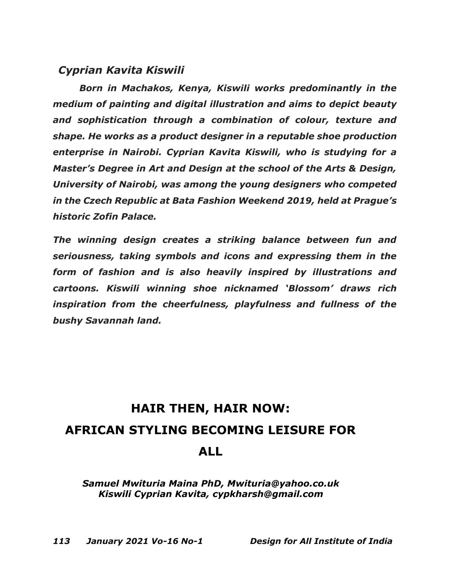## *Cyprian Kavita Kiswili*

*Born in Machakos, Kenya, Kiswili works predominantly in the medium of painting and digital illustration and aims to depict beauty and sophistication through a combination of colour, texture and shape. He works as a product designer in a reputable shoe production enterprise in Nairobi. Cyprian Kavita Kiswili, who is studying for a Master's Degree in Art and Design at the school of the Arts & Design, University of Nairobi, was among the young designers who competed in the Czech Republic at Bata Fashion Weekend 2019, held at Prague's historic Zofin Palace.*

*The winning design creates a striking balance between fun and seriousness, taking symbols and icons and expressing them in the form of fashion and is also heavily inspired by illustrations and cartoons. Kiswili winning shoe nicknamed 'Blossom' draws rich inspiration from the cheerfulness, playfulness and fullness of the bushy Savannah land.* 

## **HAIR THEN, HAIR NOW: AFRICAN STYLING BECOMING LEISURE FOR ALL**

*Samuel Mwituria Maina PhD, Mwituria@yahoo.co.uk Kiswili Cyprian Kavita, cypkharsh@gmail.com*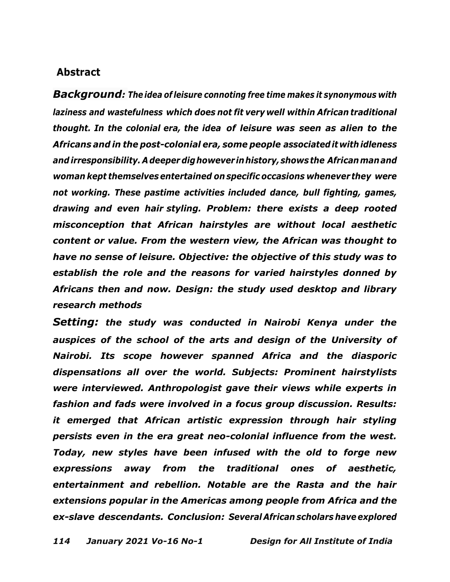## **Abstract**

*Background: The idea of leisure connoting free time makes it synonymous with laziness and wastefulness which does not fit very well within African traditional thought. In the colonial era, the idea of leisure was seen as alien to the Africans and in the post-colonial era, some people associateditwith idleness andirresponsibility. Adeeper dighowever inhistory,shows the Africanmanand woman kept themselvesentertained on specific occasions whenever they were not working. These pastime activities included dance, bull fighting, games, drawing and even hair styling. Problem: there exists a deep rooted misconception that African hairstyles are without local aesthetic content or value. From the western view, the African was thought to have no sense of leisure. Objective: the objective of this study was to establish the role and the reasons for varied hairstyles donned by Africans then and now. Design: the study used desktop and library research methods*

*Setting: the study was conducted in Nairobi Kenya under the auspices of the school of the arts and design of the University of Nairobi. Its scope however spanned Africa and the diasporic dispensations all over the world. Subjects: Prominent hairstylists were interviewed. Anthropologist gave their views while experts in fashion and fads were involved in a focus group discussion. Results: it emerged that African artistic expression through hair styling persists even in the era great neo-colonial influence from the west. Today, new styles have been infused with the old to forge new expressions away from the traditional ones of aesthetic, entertainment and rebellion. Notable are the Rasta and the hair extensions popular in the Americas among people from Africa and the ex-slave descendants. Conclusion: Several African scholars have explored*